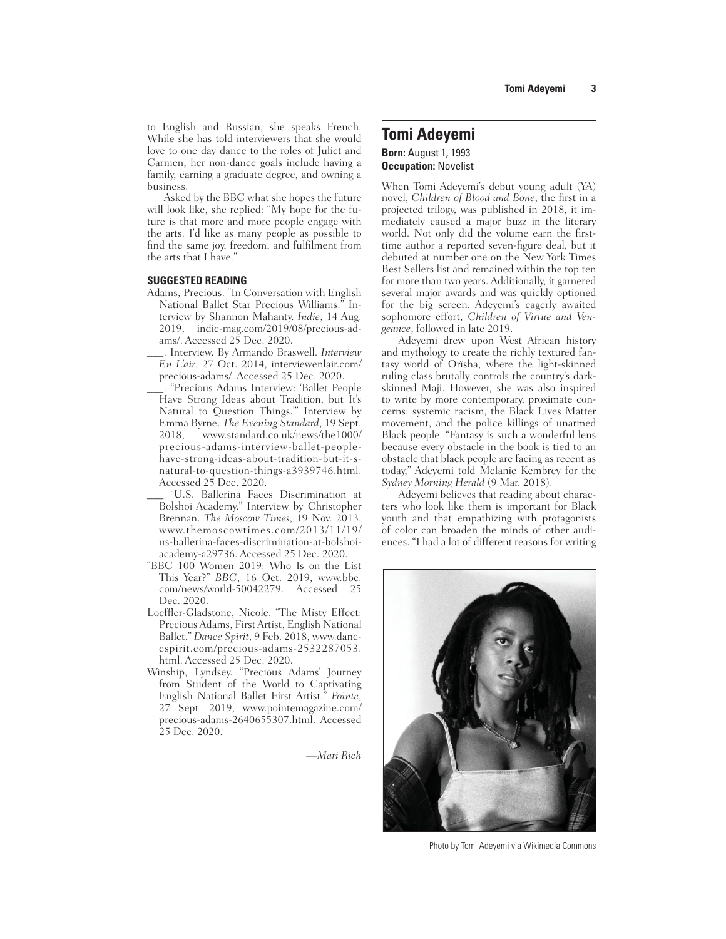to English and Russian, she speaks French. While she has told interviewers that she would love to one day dance to the roles of Juliet and Carmen, her non-dance goals include having a family, earning a graduate degree, and owning a business.

Asked by the BBC what she hopes the future will look like, she replied: "My hope for the future is that more and more people engage with the arts. I'd like as many people as possible to find the same joy, freedom, and fulfilment from the arts that I have."

#### **SUGGESTED READING**

- Adams, Precious. "In Conversation with English National Ballet Star Precious Williams." Interview by Shannon Mahanty. *Indie*, 14 Aug. 2019, indie-mag.com/2019/08/precious-adams/. Accessed 25 Dec. 2020.
- \_\_\_. Interview. By Armando Braswell. *Interview En L'air*, 27 Oct. 2014, interviewenlair.com/ precious-adams/. Accessed 25 Dec. 2020.
- \_\_\_. "Precious Adams Interview: 'Ballet People Have Strong Ideas about Tradition, but It's Natural to Question Things.'" Interview by Emma Byrne. *The Evening Standard*, 19 Sept. 2018, www.standard.co.uk/news/the1000/ precious-adams-interview-ballet-peoplehave-strong-ideas-about-tradition-but-it-snatural-to-question-things-a3939746.html. Accessed 25 Dec. 2020.
- \_\_\_ "U.S. Ballerina Faces Discrimination at Bolshoi Academy." Interview by Christopher Brennan. *The Moscow Times*, 19 Nov. 2013, www.themoscowtimes.com/2013/11/19/ us-ballerina-faces-discrimination-at-bolshoiacademy-a29736. Accessed 25 Dec. 2020.
- "BBC 100 Women 2019: Who Is on the List This Year?" *BBC*, 16 Oct. 2019, www.bbc. com/news/world-50042279. Accessed 25 Dec. 2020.
- Loeffler-Gladstone, Nicole. "The Misty Effect: Precious Adams, First Artist, English National Ballet." *Dance Spirit*, 9 Feb. 2018, www.dancespirit.com/precious-adams-2532287053. html. Accessed 25 Dec. 2020.
- Winship, Lyndsey. "Precious Adams' Journey from Student of the World to Captivating English National Ballet First Artist." *Pointe*, 27 Sept. 2019, www.pointemagazine.com/ precious-adams-2640655307.html. Accessed 25 Dec. 2020.

*—Mari Rich*

# **Tomi Adeyemi Born:** August 1, 1993 **Occupation:** Novelist

When Tomi Adeyemi's debut young adult (YA) novel, *Children of Blood and Bone*, the first in a projected trilogy, was published in 2018, it immediately caused a major buzz in the literary world. Not only did the volume earn the firsttime author a reported seven-figure deal, but it debuted at number one on the New York Times Best Sellers list and remained within the top ten for more than two years. Additionally, it garnered several major awards and was quickly optioned for the big screen. Adeyemi's eagerly awaited sophomore effort, *Children of Virtue and Vengeance*, followed in late 2019.

Adeyemi drew upon West African history and mythology to create the richly textured fantasy world of Orïsha, where the light-skinned ruling class brutally controls the country's darkskinned Maji. However, she was also inspired to write by more contemporary, proximate concerns: systemic racism, the Black Lives Matter movement, and the police killings of unarmed Black people. "Fantasy is such a wonderful lens because every obstacle in the book is tied to an obstacle that black people are facing as recent as today," Adeyemi told Melanie Kembrey for the *Sydney Morning Herald* (9 Mar. 2018).

Adeyemi believes that reading about characters who look like them is important for Black youth and that empathizing with protagonists of color can broaden the minds of other audiences. "I had a lot of different reasons for writing



Photo by Tomi Adeyemi via Wikimedia Commons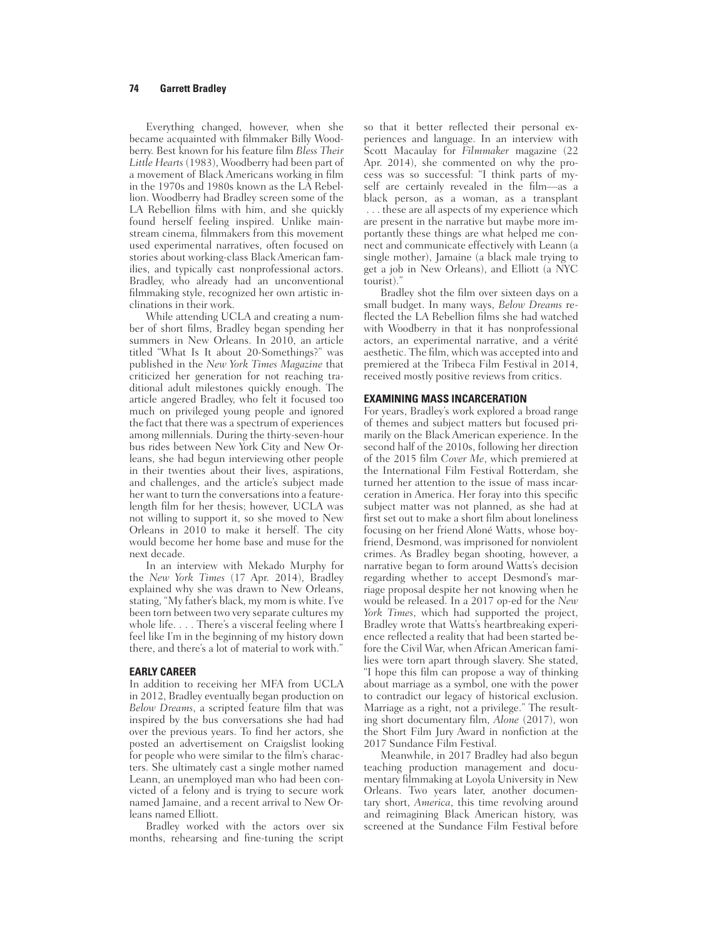### **74 Garrett Bradley**

Everything changed, however, when she became acquainted with filmmaker Billy Woodberry. Best known for his feature film *Bless Their Little Hearts* (1983), Woodberry had been part of a movement of Black Americans working in film in the 1970s and 1980s known as the LA Rebellion. Woodberry had Bradley screen some of the LA Rebellion films with him, and she quickly found herself feeling inspired. Unlike mainstream cinema, filmmakers from this movement used experimental narratives, often focused on stories about working-class Black American families, and typically cast nonprofessional actors. Bradley, who already had an unconventional filmmaking style, recognized her own artistic inclinations in their work.

While attending UCLA and creating a number of short films, Bradley began spending her summers in New Orleans. In 2010, an article titled "What Is It about 20-Somethings?" was published in the *New York Times Magazine* that criticized her generation for not reaching traditional adult milestones quickly enough. The article angered Bradley, who felt it focused too much on privileged young people and ignored the fact that there was a spectrum of experiences among millennials. During the thirty-seven-hour bus rides between New York City and New Orleans, she had begun interviewing other people in their twenties about their lives, aspirations, and challenges, and the article's subject made her want to turn the conversations into a featurelength film for her thesis; however, UCLA was not willing to support it, so she moved to New Orleans in 2010 to make it herself. The city would become her home base and muse for the next decade.

In an interview with Mekado Murphy for the *New York Times* (17 Apr. 2014), Bradley explained why she was drawn to New Orleans, stating, "My father's black, my mom is white. I've been torn between two very separate cultures my whole life. . . . There's a visceral feeling where I feel like I'm in the beginning of my history down there, and there's a lot of material to work with."

#### **EARLY CAREER**

In addition to receiving her MFA from UCLA in 2012, Bradley eventually began production on *Below Dreams*, a scripted feature film that was inspired by the bus conversations she had had over the previous years. To find her actors, she posted an advertisement on Craigslist looking for people who were similar to the film's characters. She ultimately cast a single mother named Leann, an unemployed man who had been convicted of a felony and is trying to secure work named Jamaine, and a recent arrival to New Orleans named Elliott.

Bradley worked with the actors over six months, rehearsing and fine-tuning the script

so that it better reflected their personal experiences and language. In an interview with Scott Macaulay for *Filmmaker* magazine (22 Apr. 2014), she commented on why the process was so successful: "I think parts of myself are certainly revealed in the film—as a black person, as a woman, as a transplant . . . these are all aspects of my experience which are present in the narrative but maybe more importantly these things are what helped me connect and communicate effectively with Leann (a single mother), Jamaine (a black male trying to get a job in New Orleans), and Elliott (a NYC tourist)."

Bradley shot the film over sixteen days on a small budget. In many ways, *Below Dreams* reflected the LA Rebellion films she had watched with Woodberry in that it has nonprofessional actors, an experimental narrative, and a vérité aesthetic. The film, which was accepted into and premiered at the Tribeca Film Festival in 2014, received mostly positive reviews from critics.

#### **EXAMINING MASS INCARCERATION**

For years, Bradley's work explored a broad range of themes and subject matters but focused primarily on the Black American experience. In the second half of the 2010s, following her direction of the 2015 film *Cover Me*, which premiered at the International Film Festival Rotterdam, she turned her attention to the issue of mass incarceration in America. Her foray into this specific subject matter was not planned, as she had at first set out to make a short film about loneliness focusing on her friend Aloné Watts, whose boyfriend, Desmond, was imprisoned for nonviolent crimes. As Bradley began shooting, however, a narrative began to form around Watts's decision regarding whether to accept Desmond's marriage proposal despite her not knowing when he would be released. In a 2017 op-ed for the *New York Times*, which had supported the project, Bradley wrote that Watts's heartbreaking experience reflected a reality that had been started before the Civil War, when African American families were torn apart through slavery. She stated, "I hope this film can propose a way of thinking about marriage as a symbol, one with the power to contradict our legacy of historical exclusion. Marriage as a right, not a privilege." The resulting short documentary film, *Alone* (2017), won the Short Film Jury Award in nonfiction at the 2017 Sundance Film Festival.

Meanwhile, in 2017 Bradley had also begun teaching production management and documentary filmmaking at Loyola University in New Orleans. Two years later, another documentary short, *America*, this time revolving around and reimagining Black American history, was screened at the Sundance Film Festival before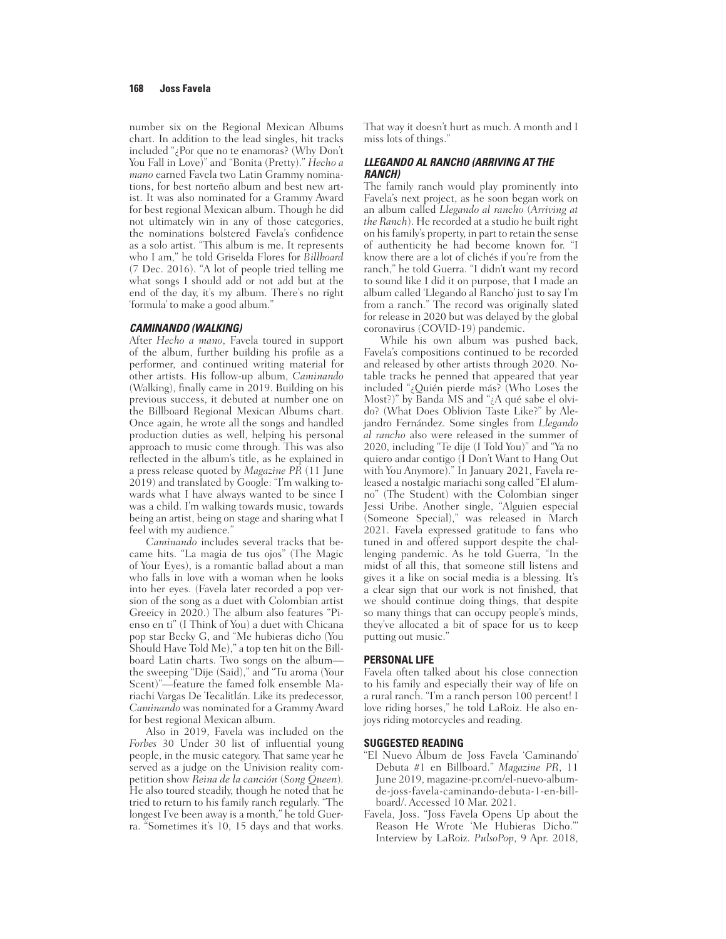number six on the Regional Mexican Albums chart. In addition to the lead singles, hit tracks included "¿Por que no te enamoras? (Why Don't You Fall in Love)" and "Bonita (Pretty)." *Hecho a mano* earned Favela two Latin Grammy nominations, for best norteño album and best new artist. It was also nominated for a Grammy Award for best regional Mexican album. Though he did not ultimately win in any of those categories, the nominations bolstered Favela's confidence as a solo artist. "This album is me. It represents who I am," he told Griselda Flores for *Billboard* (7 Dec. 2016). "A lot of people tried telling me what songs I should add or not add but at the end of the day, it's my album. There's no right 'formula' to make a good album."

#### *CAMINANDO (WALKING)*

After *Hecho a mano*, Favela toured in support of the album, further building his profile as a performer, and continued writing material for other artists. His follow-up album, *Caminando* (Walking), finally came in 2019. Building on his previous success, it debuted at number one on the Billboard Regional Mexican Albums chart. Once again, he wrote all the songs and handled production duties as well, helping his personal approach to music come through. This was also reflected in the album's title, as he explained in a press release quoted by *Magazine PR* (11 June 2019) and translated by Google: "I'm walking towards what I have always wanted to be since I was a child. I'm walking towards music, towards being an artist, being on stage and sharing what I feel with my audience."

*Caminando* includes several tracks that became hits. "La magia de tus ojos" (The Magic of Your Eyes), is a romantic ballad about a man who falls in love with a woman when he looks into her eyes. (Favela later recorded a pop version of the song as a duet with Colombian artist Greeicy in 2020.) The album also features "Pienso en ti" (I Think of You) a duet with Chicana pop star Becky G, and "Me hubieras dicho (You Should Have Told Me)," a top ten hit on the Billboard Latin charts. Two songs on the album the sweeping "Dije (Said)," and "Tu aroma (Your Scent)"—feature the famed folk ensemble Mariachi Vargas De Tecalitlán. Like its predecessor, *Caminando* was nominated for a Grammy Award for best regional Mexican album.

Also in 2019, Favela was included on the Forbes 30 Under 30 list of influential young people, in the music category. That same year he served as a judge on the Univision reality competition show *Reina de la canción* (*Song Queen*)*.* He also toured steadily, though he noted that he tried to return to his family ranch regularly. "The longest I've been away is a month," he told Guerra. "Sometimes it's 10, 15 days and that works.

That way it doesn't hurt as much. A month and I miss lots of things."

#### *LLEGANDO AL RANCHO (ARRIVING AT THE RANCH)*

The family ranch would play prominently into Favela's next project, as he soon began work on an album called *Llegando al rancho* (*Arriving at the Ranch*). He recorded at a studio he built right on his family's property, in part to retain the sense of authenticity he had become known for. "I know there are a lot of clichés if you're from the ranch," he told Guerra. "I didn't want my record to sound like I did it on purpose, that I made an album called 'Llegando al Rancho' just to say I'm from a ranch." The record was originally slated for release in 2020 but was delayed by the global coronavirus (COVID-19) pandemic.

While his own album was pushed back, Favela's compositions continued to be recorded and released by other artists through 2020. Notable tracks he penned that appeared that year included "¿Quién pierde más? (Who Loses the Most?)" by Banda MS and "¿A qué sabe el olvido? (What Does Oblivion Taste Like?" by Alejandro Fernández. Some singles from *Llegando al rancho* also were released in the summer of 2020, including "Te dije (I Told You)" and "Ya no quiero andar contigo (I Don't Want to Hang Out with You Anymore)." In January 2021, Favela released a nostalgic mariachi song called "El alumno" (The Student) with the Colombian singer Jessi Uribe. Another single, "Alguien especial (Someone Special)," was released in March 2021. Favela expressed gratitude to fans who tuned in and offered support despite the challenging pandemic. As he told Guerra, "In the midst of all this, that someone still listens and gives it a like on social media is a blessing. It's a clear sign that our work is not finished, that we should continue doing things, that despite so many things that can occupy people's minds, they've allocated a bit of space for us to keep putting out music."

#### **PERSONAL LIFE**

Favela often talked about his close connection to his family and especially their way of life on a rural ranch. "I'm a ranch person 100 percent! I love riding horses," he told LaRoiz. He also enjoys riding motorcycles and reading.

### **SUGGESTED READING**

- "El Nuevo Álbum de Joss Favela 'Caminando' Debuta #1 en Billboard." *Magazine PR*, 11 June 2019, magazine-pr.com/el-nuevo-albumde-joss-favela-caminando-debuta-1-en-billboard/. Accessed 10 Mar. 2021.
- Favela, Joss. "Joss Favela Opens Up about the Reason He Wrote 'Me Hubieras Dicho.'" Interview by LaRoiz. *PulsoPop*, 9 Apr. 2018,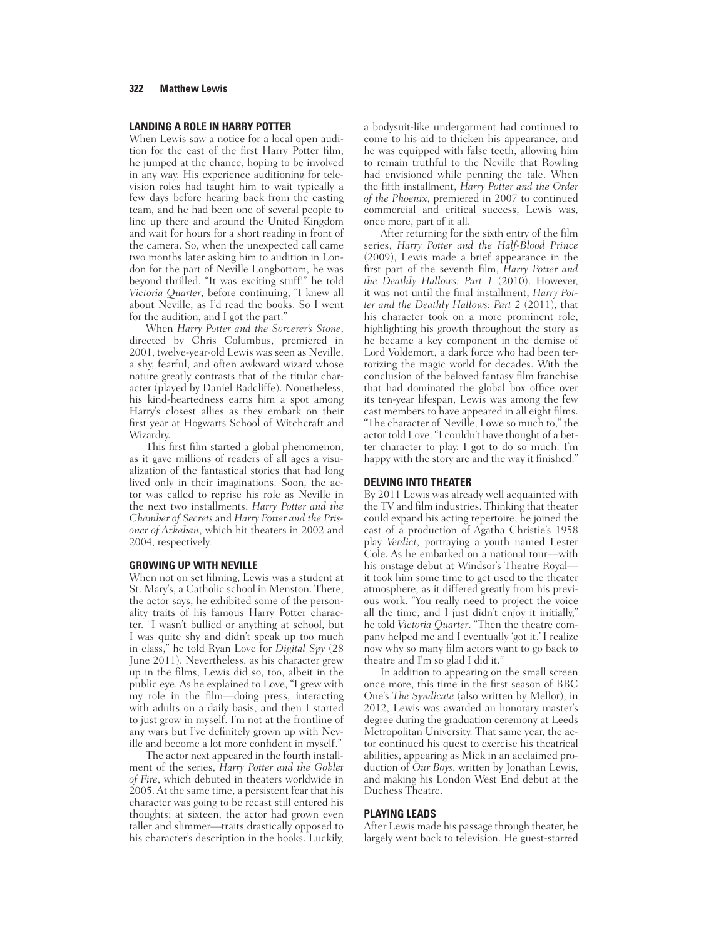### **LANDING A ROLE IN HARRY POTTER**

When Lewis saw a notice for a local open audition for the cast of the first Harry Potter film, he jumped at the chance, hoping to be involved in any way. His experience auditioning for television roles had taught him to wait typically a few days before hearing back from the casting team, and he had been one of several people to line up there and around the United Kingdom and wait for hours for a short reading in front of the camera. So, when the unexpected call came two months later asking him to audition in London for the part of Neville Longbottom, he was beyond thrilled. "It was exciting stuff!" he told *Victoria Quarter*, before continuing, "I knew all about Neville, as I'd read the books. So I went for the audition, and I got the part."

When *Harry Potter and the Sorcerer's Stone*, directed by Chris Columbus, premiered in 2001, twelve-year-old Lewis was seen as Neville, a shy, fearful, and often awkward wizard whose nature greatly contrasts that of the titular character (played by Daniel Radcliffe). Nonetheless, his kind-heartedness earns him a spot among Harry's closest allies as they embark on their first year at Hogwarts School of Witchcraft and Wizardry.

This first film started a global phenomenon, as it gave millions of readers of all ages a visualization of the fantastical stories that had long lived only in their imaginations. Soon, the actor was called to reprise his role as Neville in the next two installments, *Harry Potter and the Chamber of Secrets* and *Harry Potter and the Prisoner of Azkaban*, which hit theaters in 2002 and 2004, respectively.

#### **GROWING UP WITH NEVILLE**

When not on set filming, Lewis was a student at St. Mary's, a Catholic school in Menston. There, the actor says, he exhibited some of the personality traits of his famous Harry Potter character. "I wasn't bullied or anything at school, but I was quite shy and didn't speak up too much in class," he told Ryan Love for *Digital Spy* (28 June 2011). Nevertheless, as his character grew up in the films, Lewis did so, too, albeit in the public eye. As he explained to Love, "I grew with my role in the film—doing press, interacting with adults on a daily basis, and then I started to just grow in myself. I'm not at the frontline of any wars but I've definitely grown up with Neville and become a lot more confident in myself."

The actor next appeared in the fourth installment of the series, *Harry Potter and the Goblet of Fire*, which debuted in theaters worldwide in 2005. At the same time, a persistent fear that his character was going to be recast still entered his thoughts; at sixteen, the actor had grown even taller and slimmer—traits drastically opposed to his character's description in the books. Luckily,

a bodysuit-like undergarment had continued to come to his aid to thicken his appearance, and he was equipped with false teeth, allowing him to remain truthful to the Neville that Rowling had envisioned while penning the tale. When the fifth installment, *Harry Potter and the Order of the Phoenix*, premiered in 2007 to continued commercial and critical success, Lewis was, once more, part of it all.

After returning for the sixth entry of the film series, *Harry Potter and the Half-Blood Prince*  (2009), Lewis made a brief appearance in the first part of the seventh film, *Harry Potter and the Deathly Hallows: Part 1* (2010). However, it was not until the final installment, *Harry Potter and the Deathly Hallows: Part 2* (2011), that his character took on a more prominent role, highlighting his growth throughout the story as he became a key component in the demise of Lord Voldemort, a dark force who had been terrorizing the magic world for decades. With the conclusion of the beloved fantasy film franchise that had dominated the global box office over its ten-year lifespan, Lewis was among the few cast members to have appeared in all eight films. "The character of Neville, I owe so much to," the actor told Love. "I couldn't have thought of a better character to play. I got to do so much. I'm happy with the story arc and the way it finished."

#### **DELVING INTO THEATER**

By 2011 Lewis was already well acquainted with the TV and film industries. Thinking that theater could expand his acting repertoire, he joined the cast of a production of Agatha Christie's 1958 play *Verdict*, portraying a youth named Lester Cole. As he embarked on a national tour—with his onstage debut at Windsor's Theatre Royal it took him some time to get used to the theater atmosphere, as it differed greatly from his previous work. "You really need to project the voice all the time, and I just didn't enjoy it initially, he told *Victoria Quarter*. "Then the theatre company helped me and I eventually 'got it.' I realize now why so many film actors want to go back to theatre and I'm so glad I did it."

In addition to appearing on the small screen once more, this time in the first season of BBC One's *The Syndicate* (also written by Mellor), in 2012, Lewis was awarded an honorary master's degree during the graduation ceremony at Leeds Metropolitan University. That same year, the actor continued his quest to exercise his theatrical abilities, appearing as Mick in an acclaimed production of *Our Boys*, written by Jonathan Lewis, and making his London West End debut at the Duchess Theatre.

#### **PLAYING LEADS**

After Lewis made his passage through theater, he largely went back to television. He guest-starred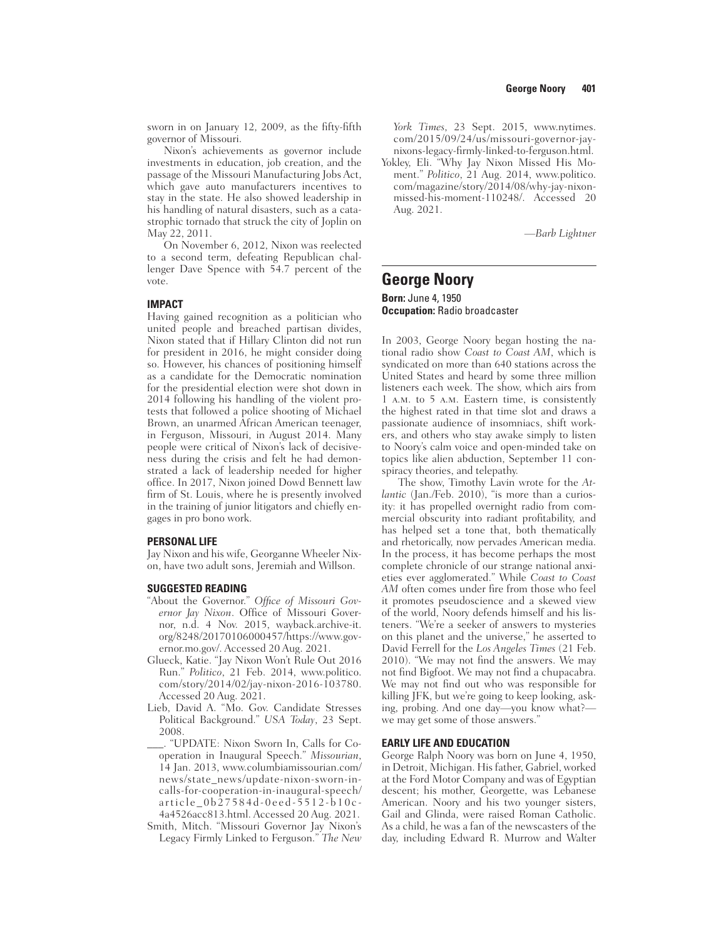sworn in on January 12, 2009, as the fifty-fifth governor of Missouri.

Nixon's achievements as governor include investments in education, job creation, and the passage of the Missouri Manufacturing Jobs Act, which gave auto manufacturers incentives to stay in the state. He also showed leadership in his handling of natural disasters, such as a catastrophic tornado that struck the city of Joplin on May 22, 2011.

On November 6, 2012, Nixon was reelected to a second term, defeating Republican challenger Dave Spence with 54.7 percent of the vote.

### **IMPACT**

Having gained recognition as a politician who united people and breached partisan divides, Nixon stated that if Hillary Clinton did not run for president in 2016, he might consider doing so. However, his chances of positioning himself as a candidate for the Democratic nomination for the presidential election were shot down in 2014 following his handling of the violent protests that followed a police shooting of Michael Brown, an unarmed African American teenager, in Ferguson, Missouri, in August 2014. Many people were critical of Nixon's lack of decisiveness during the crisis and felt he had demonstrated a lack of leadership needed for higher office. In 2017, Nixon joined Dowd Bennett law firm of St. Louis, where he is presently involved in the training of junior litigators and chiefly engages in pro bono work.

#### **PERSONAL LIFE**

Jay Nixon and his wife, Georganne Wheeler Nixon, have two adult sons, Jeremiah and Willson.

#### **SUGGESTED READING**

- "About the Governor." Office of Missouri Governor Jay Nixon. Office of Missouri Governor, n.d. 4 Nov. 2015, wayback.archive-it. org/8248/20170106000457/https://www.governor.mo.gov/. Accessed 20 Aug. 2021.
- Glueck, Katie. "Jay Nixon Won't Rule Out 2016 Run." *Politico*, 21 Feb. 2014, www.politico. com/story/2014/02/jay-nixon-2016-103780. Accessed 20 Aug. 2021.
- Lieb, David A. "Mo. Gov. Candidate Stresses Political Background." *USA Today*, 23 Sept. 2008.
- \_\_\_. "UPDATE: Nixon Sworn In, Calls for Cooperation in Inaugural Speech." *Missourian*, 14 Jan. 2013, www.columbiamissourian.com/ news/state\_news/update-nixon-sworn-incalls-for-cooperation-in-inaugural-speech/ article\_0b27584d-0eed-5512-b10c-4a4526acc813.html. Accessed 20 Aug. 2021.
- Smith, Mitch. "Missouri Governor Jay Nixon's Legacy Firmly Linked to Ferguson." *The New*

*York Times*, 23 Sept. 2015, www.nytimes. com/2015/09/24/us/missouri-governor-jaynixons-legacy-firmly-linked-to-ferguson.html.

Yokley, Eli. "Why Jay Nixon Missed His Moment." *Politico*, 21 Aug. 2014, www.politico. com/magazine/story/2014/08/why-jay-nixonmissed-his-moment-110248/. Accessed 20 Aug. 2021.

*—Barb Lightner*

## **George Noory Born:** June 4, 1950 **Occupation:** Radio broadcaster

In 2003, George Noory began hosting the national radio show *Coast to Coast AM*, which is syndicated on more than 640 stations across the United States and heard by some three million listeners each week. The show, which airs from 1 a.m. to 5 a.m. Eastern time, is consistently the highest rated in that time slot and draws a passionate audience of insomniacs, shift workers, and others who stay awake simply to listen to Noory's calm voice and open-minded take on topics like alien abduction, September 11 conspiracy theories, and telepathy.

The show, Timothy Lavin wrote for the *Atlantic* (Jan./Feb. 2010), "is more than a curiosity: it has propelled overnight radio from commercial obscurity into radiant profitability, and has helped set a tone that, both thematically and rhetorically, now pervades American media. In the process, it has become perhaps the most complete chronicle of our strange national anxieties ever agglomerated." While *Coast to Coast AM* often comes under fire from those who feel it promotes pseudoscience and a skewed view of the world, Noory defends himself and his listeners. "We're a seeker of answers to mysteries on this planet and the universe," he asserted to David Ferrell for the *Los Angeles Times* (21 Feb. 2010). "We may not find the answers. We may not find Bigfoot. We may not find a chupacabra. We may not find out who was responsible for killing JFK, but we're going to keep looking, asking, probing. And one day—you know what? we may get some of those answers."

### **EARLY LIFE AND EDUCATION**

George Ralph Noory was born on June 4, 1950, in Detroit, Michigan. His father, Gabriel, worked at the Ford Motor Company and was of Egyptian descent; his mother, Georgette, was Lebanese American. Noory and his two younger sisters, Gail and Glinda, were raised Roman Catholic. As a child, he was a fan of the newscasters of the day, including Edward R. Murrow and Walter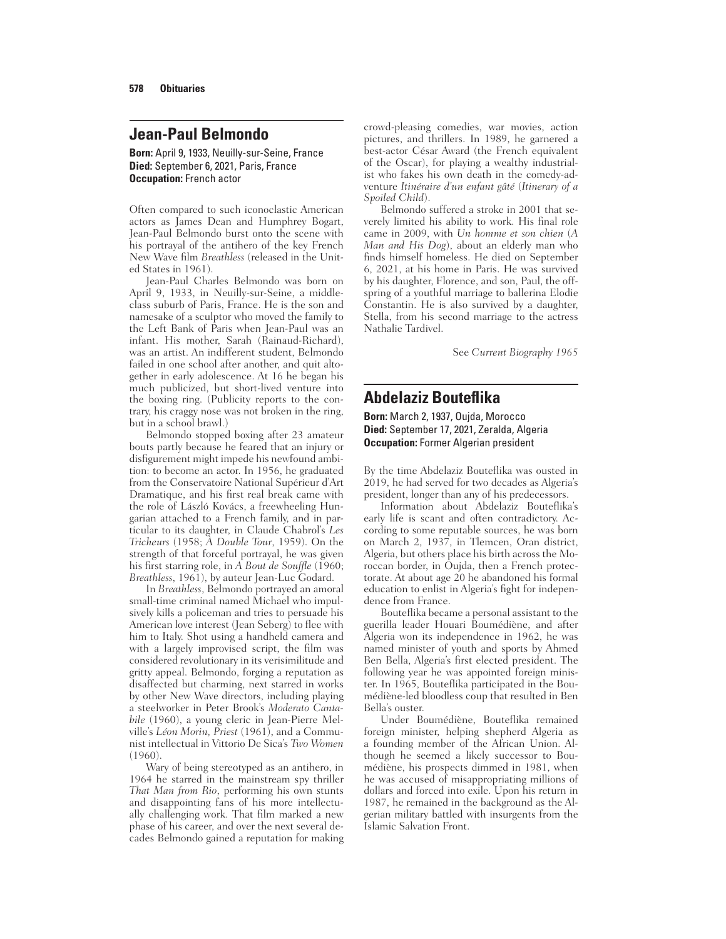# **Jean-Paul Belmondo**

**Born:** April 9, 1933, Neuilly-sur-Seine, France **Died:** September 6, 2021, Paris, France **Occupation:** French actor

Often compared to such iconoclastic American actors as James Dean and Humphrey Bogart, Jean-Paul Belmondo burst onto the scene with his portrayal of the antihero of the key French New Wave film *Breathless* (released in the United States in 1961).

Jean-Paul Charles Belmondo was born on April 9, 1933, in Neuilly-sur-Seine, a middleclass suburb of Paris, France. He is the son and namesake of a sculptor who moved the family to the Left Bank of Paris when Jean-Paul was an infant. His mother, Sarah (Rainaud-Richard), was an artist. An indifferent student, Belmondo failed in one school after another, and quit altogether in early adolescence. At 16 he began his much publicized, but short-lived venture into the boxing ring. (Publicity reports to the contrary, his craggy nose was not broken in the ring, but in a school brawl.)

Belmondo stopped boxing after 23 amateur bouts partly because he feared that an injury or disfigurement might impede his newfound ambition: to become an actor. In 1956, he graduated from the Conservatoire National Supérieur d'Art Dramatique, and his first real break came with the role of László Kovács, a freewheeling Hungarian attached to a French family, and in particular to its daughter, in Claude Chabrol's *Les Tricheurs* (1958; *À Double Tour*, 1959). On the strength of that forceful portrayal, he was given his first starring role, in *A Bout de Souffle* (1960; *Breathless*, 1961), by auteur Jean-Luc Godard.

In *Breathless*, Belmondo portrayed an amoral small-time criminal named Michael who impulsively kills a policeman and tries to persuade his American love interest (Jean Seberg) to flee with him to Italy. Shot using a handheld camera and with a largely improvised script, the film was considered revolutionary in its verisimilitude and gritty appeal. Belmondo, forging a reputation as disaffected but charming, next starred in works by other New Wave directors, including playing a steelworker in Peter Brook's *Moderato Cantabile* (1960), a young cleric in Jean-Pierre Melville's *Léon Morin, Priest* (1961), and a Communist intellectual in Vittorio De Sica's *Two Women* (1960).

Wary of being stereotyped as an antihero, in 1964 he starred in the mainstream spy thriller *That Man from Rio*, performing his own stunts and disappointing fans of his more intellectually challenging work. That film marked a new phase of his career, and over the next several decades Belmondo gained a reputation for making crowd-pleasing comedies, war movies, action pictures, and thrillers. In 1989, he garnered a best-actor César Award (the French equivalent of the Oscar), for playing a wealthy industrialist who fakes his own death in the comedy-adventure *Itinéraire d'un enfant gâté* (*Itinerary of a Spoiled Child*).

Belmondo suffered a stroke in 2001 that severely limited his ability to work. His final role came in 2009, with *Un homme et son chien* (*A Man and His Dog*), about an elderly man who finds himself homeless. He died on September 6, 2021, at his home in Paris. He was survived by his daughter, Florence, and son, Paul, the offspring of a youthful marriage to ballerina Elodie Constantin. He is also survived by a daughter, Stella, from his second marriage to the actress Nathalie Tardivel.

See *Current Biography 1965*

# **Abdelaziz Boutefl ika**

**Born:** March 2, 1937, Oujda, Morocco **Died:** September 17, 2021, Zeralda, Algeria **Occupation:** Former Algerian president

By the time Abdelaziz Bouteflika was ousted in 2019, he had served for two decades as Algeria's president, longer than any of his predecessors.

Information about Abdelaziz Bouteflika's early life is scant and often contradictory. According to some reputable sources, he was born on March 2, 1937, in Tlemcen, Oran district, Algeria, but others place his birth across the Moroccan border, in Oujda, then a French protectorate. At about age 20 he abandoned his formal education to enlist in Algeria's fight for independence from France.

Bouteflika became a personal assistant to the guerilla leader Houari Boumédiène, and after Algeria won its independence in 1962, he was named minister of youth and sports by Ahmed Ben Bella, Algeria's first elected president. The following year he was appointed foreign minister. In 1965, Bouteflika participated in the Boumédiène-led bloodless coup that resulted in Ben Bella's ouster.

Under Boumédiène, Bouteflika remained foreign minister, helping shepherd Algeria as a founding member of the African Union. Although he seemed a likely successor to Boumédiène, his prospects dimmed in 1981, when he was accused of misappropriating millions of dollars and forced into exile. Upon his return in 1987, he remained in the background as the Algerian military battled with insurgents from the Islamic Salvation Front.